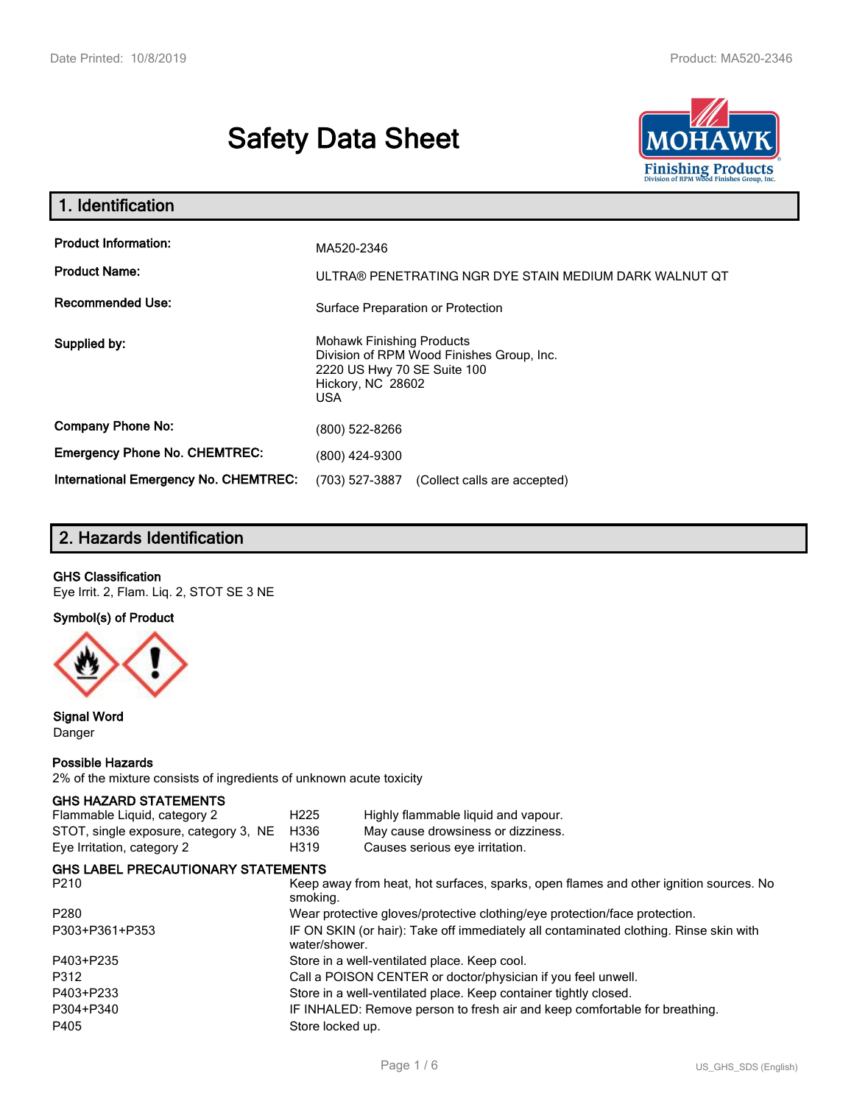# **Safety Data Sheet**



| 1. Identification                                                              |                                                                                                                                          |  |  |  |
|--------------------------------------------------------------------------------|------------------------------------------------------------------------------------------------------------------------------------------|--|--|--|
| <b>Product Information:</b><br><b>Product Name:</b><br><b>Recommended Use:</b> | MA520-2346<br>ULTRA® PENETRATING NGR DYE STAIN MEDIUM DARK WALNUT OT<br>Surface Preparation or Protection                                |  |  |  |
| Supplied by:                                                                   | <b>Mohawk Finishing Products</b><br>Division of RPM Wood Finishes Group, Inc.<br>2220 US Hwy 70 SE Suite 100<br>Hickory, NC 28602<br>USA |  |  |  |
| <b>Company Phone No:</b>                                                       | (800) 522-8266                                                                                                                           |  |  |  |
| <b>Emergency Phone No. CHEMTREC:</b>                                           | (800) 424-9300                                                                                                                           |  |  |  |
| International Emergency No. CHEMTREC:                                          | (703) 527-3887<br>(Collect calls are accepted)                                                                                           |  |  |  |

# **2. Hazards Identification**

## **GHS Classification**

Eye Irrit. 2, Flam. Liq. 2, STOT SE 3 NE

### **Symbol(s) of Product**



## **Signal Word** Danger

#### **Possible Hazards**

2% of the mixture consists of ingredients of unknown acute toxicity

#### **GHS HAZARD STATEMENTS**

| Flammable Liquid, category 2              | H <sub>225</sub>                                                           | Highly flammable liquid and vapour.                                                   |  |  |  |
|-------------------------------------------|----------------------------------------------------------------------------|---------------------------------------------------------------------------------------|--|--|--|
| STOT, single exposure, category 3, NE     | H336                                                                       | May cause drowsiness or dizziness.                                                    |  |  |  |
| Eye Irritation, category 2                | H319                                                                       | Causes serious eye irritation.                                                        |  |  |  |
| <b>GHS LABEL PRECAUTIONARY STATEMENTS</b> |                                                                            |                                                                                       |  |  |  |
| P210                                      | smoking.                                                                   | Keep away from heat, hot surfaces, sparks, open flames and other ignition sources. No |  |  |  |
| P280                                      | Wear protective gloves/protective clothing/eye protection/face protection. |                                                                                       |  |  |  |
| P303+P361+P353                            | water/shower.                                                              | IF ON SKIN (or hair): Take off immediately all contaminated clothing. Rinse skin with |  |  |  |
| P403+P235                                 |                                                                            | Store in a well-ventilated place. Keep cool.                                          |  |  |  |
| P312                                      |                                                                            | Call a POISON CENTER or doctor/physician if you feel unwell.                          |  |  |  |
| P403+P233                                 | Store in a well-ventilated place. Keep container tightly closed.           |                                                                                       |  |  |  |
| P304+P340                                 |                                                                            | IF INHALED: Remove person to fresh air and keep comfortable for breathing.            |  |  |  |
| P405                                      | Store locked up.                                                           |                                                                                       |  |  |  |
|                                           |                                                                            |                                                                                       |  |  |  |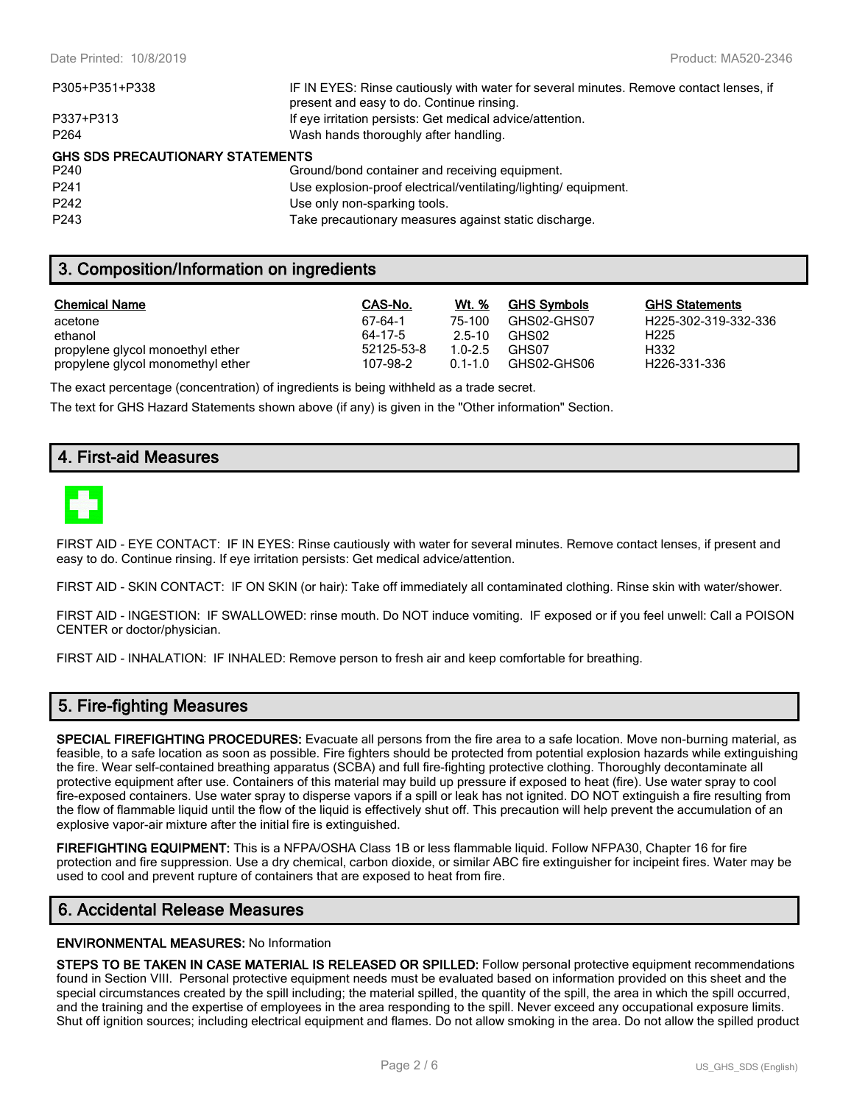| IF IN EYES: Rinse cautiously with water for several minutes. Remove contact lenses, if<br>present and easy to do. Continue rinsing. |
|-------------------------------------------------------------------------------------------------------------------------------------|
| If eye irritation persists: Get medical advice/attention.                                                                           |
| Wash hands thoroughly after handling.                                                                                               |
| <b>GHS SDS PRECAUTIONARY STATEMENTS</b>                                                                                             |
| Ground/bond container and receiving equipment.                                                                                      |
| Use explosion-proof electrical/ventilating/lighting/ equipment.                                                                     |
| Use only non-sparking tools.                                                                                                        |
| Take precautionary measures against static discharge.                                                                               |
|                                                                                                                                     |

# **3. Composition/Information on ingredients**

| <b>Chemical Name</b>              | CAS-No.    | Wt. %       | <b>GHS Symbols</b> | <b>GHS Statements</b>     |
|-----------------------------------|------------|-------------|--------------------|---------------------------|
| acetone                           | 67-64-1    | 75-100      | GHS02-GHS07        | H225-302-319-332-336      |
| ethanol                           | 64-17-5    | $2.5 - 10$  | GHS02              | H <sub>225</sub>          |
| propylene glycol monoethyl ether  | 52125-53-8 | $1.0 - 2.5$ | GHS07              | H332                      |
| propylene glycol monomethyl ether | 107-98-2   | $0.1 - 1.0$ | GHS02-GHS06        | H <sub>226</sub> -331-336 |

The exact percentage (concentration) of ingredients is being withheld as a trade secret.

The text for GHS Hazard Statements shown above (if any) is given in the "Other information" Section.

# **4. First-aid Measures**



FIRST AID - EYE CONTACT: IF IN EYES: Rinse cautiously with water for several minutes. Remove contact lenses, if present and easy to do. Continue rinsing. If eye irritation persists: Get medical advice/attention.

FIRST AID - SKIN CONTACT: IF ON SKIN (or hair): Take off immediately all contaminated clothing. Rinse skin with water/shower.

FIRST AID - INGESTION: IF SWALLOWED: rinse mouth. Do NOT induce vomiting. IF exposed or if you feel unwell: Call a POISON CENTER or doctor/physician.

FIRST AID - INHALATION: IF INHALED: Remove person to fresh air and keep comfortable for breathing.

# **5. Fire-fighting Measures**

**SPECIAL FIREFIGHTING PROCEDURES:** Evacuate all persons from the fire area to a safe location. Move non-burning material, as feasible, to a safe location as soon as possible. Fire fighters should be protected from potential explosion hazards while extinguishing the fire. Wear self-contained breathing apparatus (SCBA) and full fire-fighting protective clothing. Thoroughly decontaminate all protective equipment after use. Containers of this material may build up pressure if exposed to heat (fire). Use water spray to cool fire-exposed containers. Use water spray to disperse vapors if a spill or leak has not ignited. DO NOT extinguish a fire resulting from the flow of flammable liquid until the flow of the liquid is effectively shut off. This precaution will help prevent the accumulation of an explosive vapor-air mixture after the initial fire is extinguished.

**FIREFIGHTING EQUIPMENT:** This is a NFPA/OSHA Class 1B or less flammable liquid. Follow NFPA30, Chapter 16 for fire protection and fire suppression. Use a dry chemical, carbon dioxide, or similar ABC fire extinguisher for incipeint fires. Water may be used to cool and prevent rupture of containers that are exposed to heat from fire.

## **6. Accidental Release Measures**

#### **ENVIRONMENTAL MEASURES:** No Information

**STEPS TO BE TAKEN IN CASE MATERIAL IS RELEASED OR SPILLED:** Follow personal protective equipment recommendations found in Section VIII. Personal protective equipment needs must be evaluated based on information provided on this sheet and the special circumstances created by the spill including; the material spilled, the quantity of the spill, the area in which the spill occurred, and the training and the expertise of employees in the area responding to the spill. Never exceed any occupational exposure limits. Shut off ignition sources; including electrical equipment and flames. Do not allow smoking in the area. Do not allow the spilled product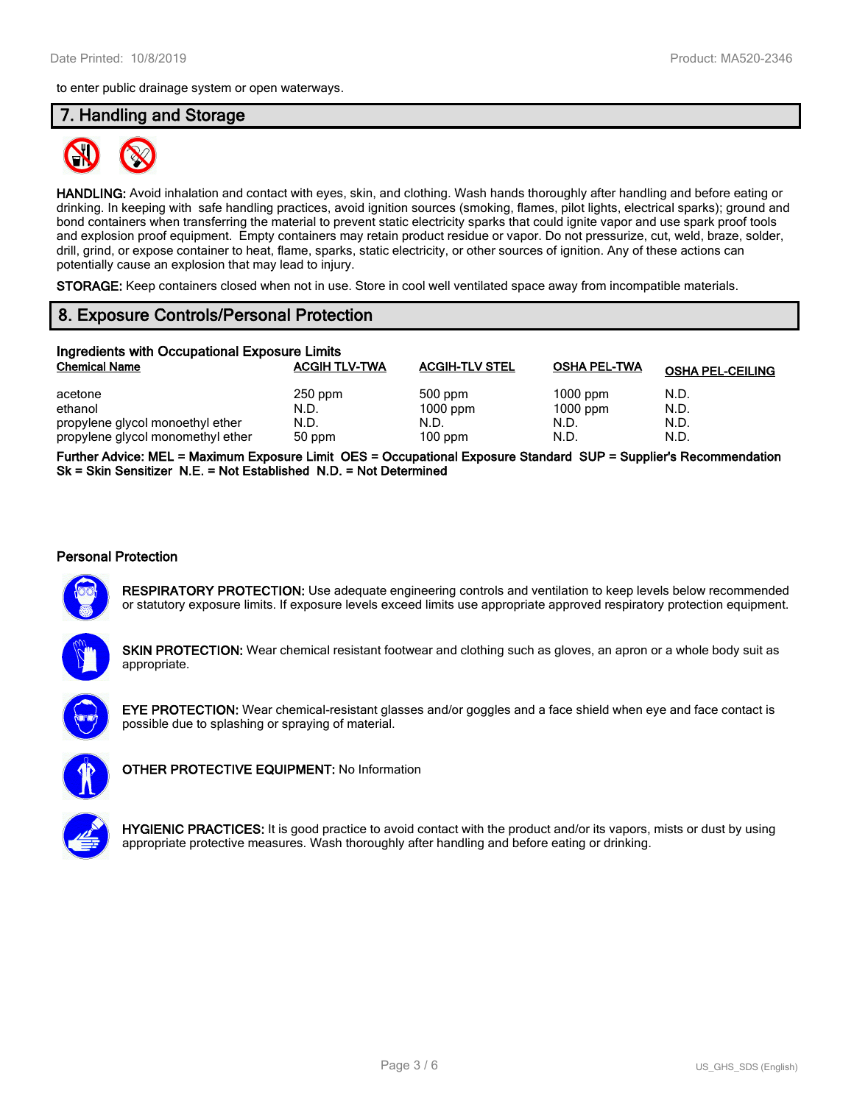to enter public drainage system or open waterways.

## **7. Handling and Storage**



**HANDLING:** Avoid inhalation and contact with eyes, skin, and clothing. Wash hands thoroughly after handling and before eating or drinking. In keeping with safe handling practices, avoid ignition sources (smoking, flames, pilot lights, electrical sparks); ground and bond containers when transferring the material to prevent static electricity sparks that could ignite vapor and use spark proof tools and explosion proof equipment. Empty containers may retain product residue or vapor. Do not pressurize, cut, weld, braze, solder, drill, grind, or expose container to heat, flame, sparks, static electricity, or other sources of ignition. Any of these actions can potentially cause an explosion that may lead to injury.

**STORAGE:** Keep containers closed when not in use. Store in cool well ventilated space away from incompatible materials.

# **8. Exposure Controls/Personal Protection**

| Ingredients with Occupational Exposure Limits |                      |                       |                     |                         |  |  |
|-----------------------------------------------|----------------------|-----------------------|---------------------|-------------------------|--|--|
| <b>Chemical Name</b>                          | <b>ACGIH TLV-TWA</b> | <b>ACGIH-TLV STEL</b> | <b>OSHA PEL-TWA</b> | <b>OSHA PEL-CEILING</b> |  |  |
| acetone                                       | $250$ ppm            | 500 ppm               | $1000$ ppm          | N.D.                    |  |  |
| ethanol                                       | N.D.                 | $1000$ ppm            | $1000$ ppm          | N.D.                    |  |  |
| propylene glycol monoethyl ether              | N.D.                 | N.D.                  | N.D.                | N.D.                    |  |  |
| propylene glycol monomethyl ether             | 50 ppm               | $100$ ppm             | N.D.                | N.D.                    |  |  |

**Further Advice: MEL = Maximum Exposure Limit OES = Occupational Exposure Standard SUP = Supplier's Recommendation Sk = Skin Sensitizer N.E. = Not Established N.D. = Not Determined**

#### **Personal Protection**



**RESPIRATORY PROTECTION:** Use adequate engineering controls and ventilation to keep levels below recommended or statutory exposure limits. If exposure levels exceed limits use appropriate approved respiratory protection equipment.



**SKIN PROTECTION:** Wear chemical resistant footwear and clothing such as gloves, an apron or a whole body suit as appropriate.



**EYE PROTECTION:** Wear chemical-resistant glasses and/or goggles and a face shield when eye and face contact is possible due to splashing or spraying of material.



**OTHER PROTECTIVE EQUIPMENT:** No Information



**HYGIENIC PRACTICES:** It is good practice to avoid contact with the product and/or its vapors, mists or dust by using appropriate protective measures. Wash thoroughly after handling and before eating or drinking.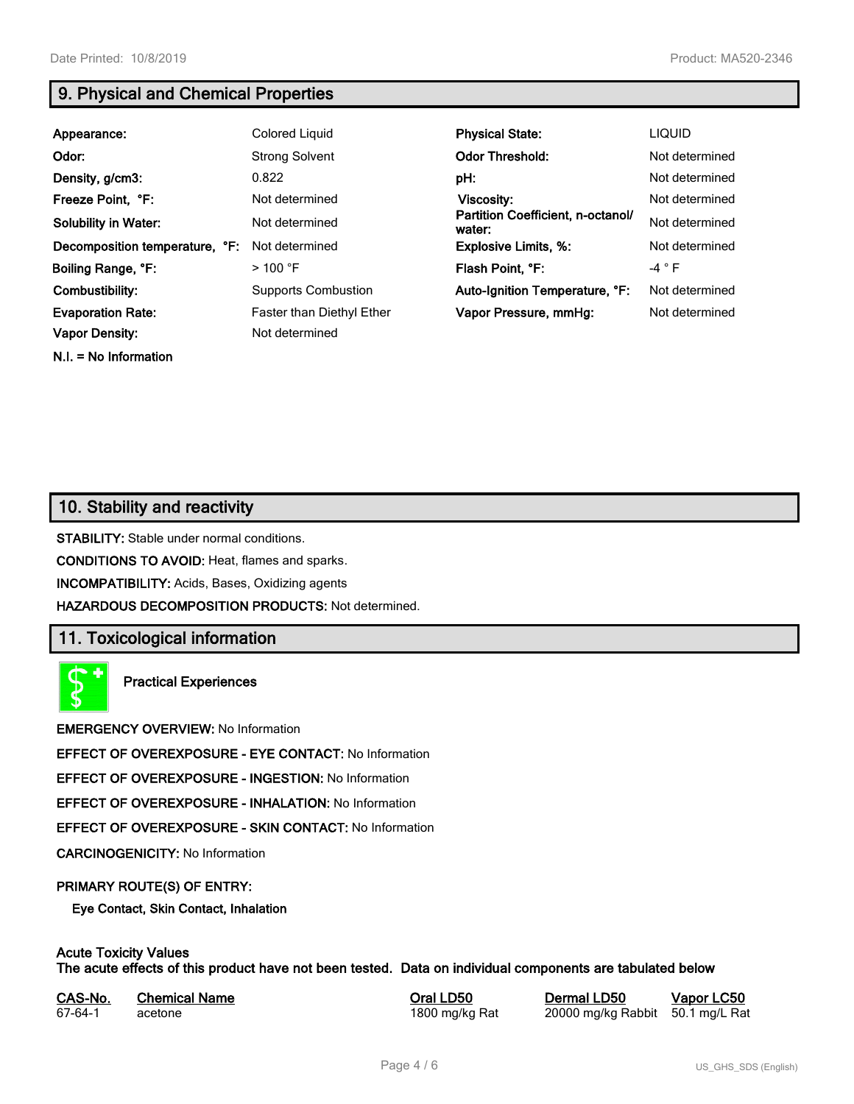**N.I. = No Information**

# **9. Physical and Chemical Properties**

| Appearance:                    | Colored Liquid             | <b>Physical State:</b>                      | <b>LIQUID</b>   |
|--------------------------------|----------------------------|---------------------------------------------|-----------------|
| Odor:                          | <b>Strong Solvent</b>      | <b>Odor Threshold:</b>                      | Not determined  |
| Density, g/cm3:                | 0.822                      | pH:                                         | Not determined  |
| Freeze Point, °F:              | Not determined             | Viscosity:                                  | Not determined  |
| <b>Solubility in Water:</b>    | Not determined             | Partition Coefficient, n-octanol/<br>water: | Not determined  |
| Decomposition temperature, °F: | Not determined             | <b>Explosive Limits, %:</b>                 | Not determined  |
| Boiling Range, °F:             | $>100$ °F                  | Flash Point, °F:                            | -4 $^{\circ}$ F |
| Combustibility:                | <b>Supports Combustion</b> | Auto-Ignition Temperature, °F:              | Not determined  |
| <b>Evaporation Rate:</b>       | Faster than Diethyl Ether  | Vapor Pressure, mmHg:                       | Not determined  |
| <b>Vapor Density:</b>          | Not determined             |                                             |                 |

# **10. Stability and reactivity**

**STABILITY:** Stable under normal conditions.

**CONDITIONS TO AVOID:** Heat, flames and sparks.

**INCOMPATIBILITY:** Acids, Bases, Oxidizing agents

**HAZARDOUS DECOMPOSITION PRODUCTS:** Not determined.

# **11. Toxicological information**

**Practical Experiences**

**EMERGENCY OVERVIEW:** No Information

**EFFECT OF OVEREXPOSURE - EYE CONTACT:** No Information

**EFFECT OF OVEREXPOSURE - INGESTION:** No Information

**EFFECT OF OVEREXPOSURE - INHALATION:** No Information

**EFFECT OF OVEREXPOSURE - SKIN CONTACT:** No Information

**CARCINOGENICITY:** No Information

## **PRIMARY ROUTE(S) OF ENTRY:**

**Eye Contact, Skin Contact, Inhalation**

# **Acute Toxicity Values**

**The acute effects of this product have not been tested. Data on individual components are tabulated below**

| CAS-No. | <b>Chemical Name</b> |
|---------|----------------------|
| 67-64-1 | acetone              |

**Casary Chemical Chemical LD50 Chemical LD50 Vapor LC50** 1800 mg/kg Rat 20000 mg/kg Rabbit 50.1 mg/L Rat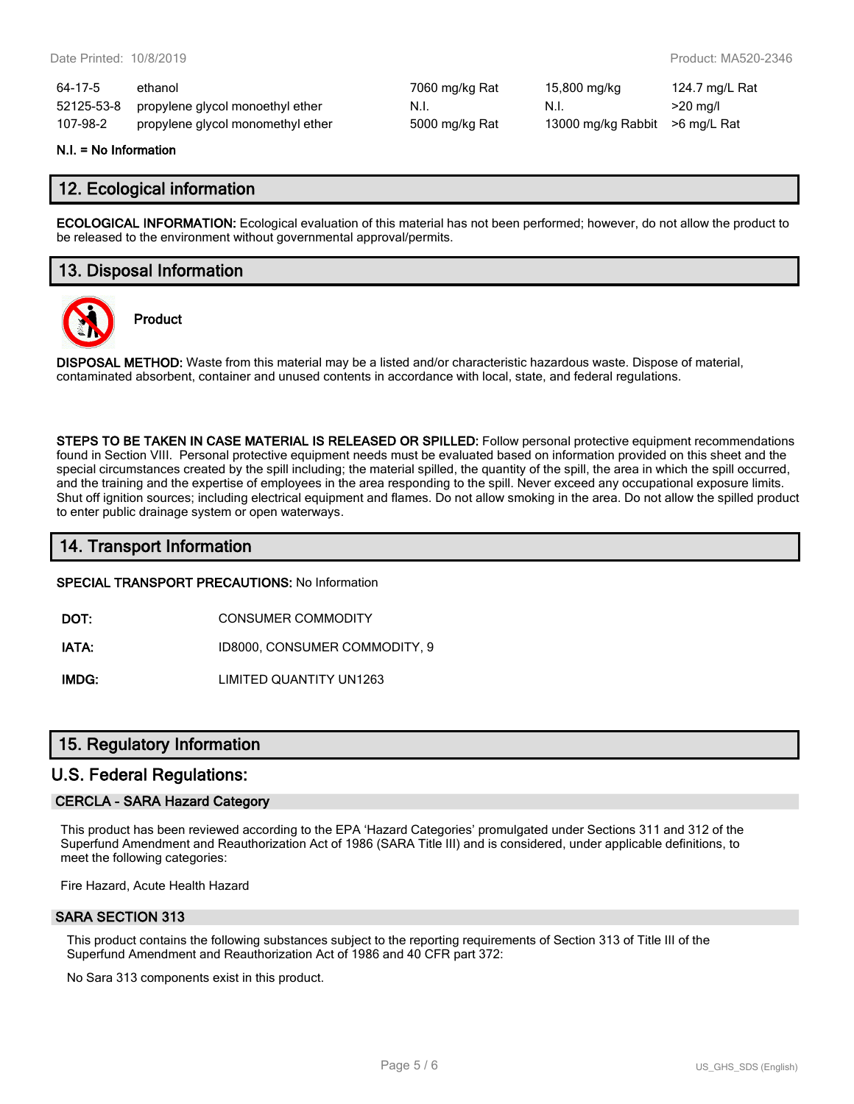| 64-17-5  | ethanol                                     | 7060 mg/kg Rat | 15,800 mg/kg                    | 124.7 mg/L Rat |
|----------|---------------------------------------------|----------------|---------------------------------|----------------|
|          | 52125-53-8 propylene glycol monoethyl ether | N.I.           | N.I.                            | $>20$ mg/l     |
| 107-98-2 | propylene glycol monomethyl ether           | 5000 mg/kg Rat | 13000 mg/kg Rabbit > 6 mg/L Rat |                |

#### **N.I. = No Information**

## **12. Ecological information**

**ECOLOGICAL INFORMATION:** Ecological evaluation of this material has not been performed; however, do not allow the product to be released to the environment without governmental approval/permits.

# **13. Disposal Information**



**Product**

**DISPOSAL METHOD:** Waste from this material may be a listed and/or characteristic hazardous waste. Dispose of material, contaminated absorbent, container and unused contents in accordance with local, state, and federal regulations.

**STEPS TO BE TAKEN IN CASE MATERIAL IS RELEASED OR SPILLED:** Follow personal protective equipment recommendations found in Section VIII. Personal protective equipment needs must be evaluated based on information provided on this sheet and the special circumstances created by the spill including; the material spilled, the quantity of the spill, the area in which the spill occurred, and the training and the expertise of employees in the area responding to the spill. Never exceed any occupational exposure limits. Shut off ignition sources; including electrical equipment and flames. Do not allow smoking in the area. Do not allow the spilled product to enter public drainage system or open waterways.

# **14. Transport Information**

#### **SPECIAL TRANSPORT PRECAUTIONS:** No Information

**DOT:** CONSUMER COMMODITY

**IATA:** ID8000, CONSUMER COMMODITY, 9

**IMDG:** LIMITED QUANTITY UN1263

## **15. Regulatory Information**

## **U.S. Federal Regulations:**

## **CERCLA - SARA Hazard Category**

This product has been reviewed according to the EPA 'Hazard Categories' promulgated under Sections 311 and 312 of the Superfund Amendment and Reauthorization Act of 1986 (SARA Title III) and is considered, under applicable definitions, to meet the following categories:

Fire Hazard, Acute Health Hazard

#### **SARA SECTION 313**

This product contains the following substances subject to the reporting requirements of Section 313 of Title III of the Superfund Amendment and Reauthorization Act of 1986 and 40 CFR part 372:

No Sara 313 components exist in this product.